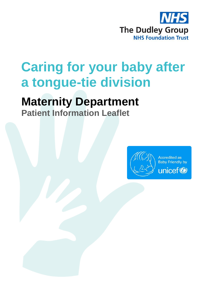

# **Caring for your baby after a tongue-tie division**

## **Maternity Department**

**Patient Information Leaflet**

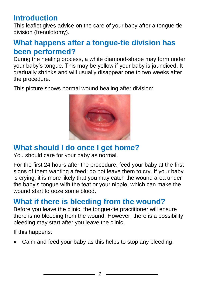## **Introduction**

This leaflet gives advice on the care of your baby after a tongue-tie division (frenulotomy).

### **What happens after a tongue-tie division has been performed?**

During the healing process, a white diamond-shape may form under your baby's tongue. This may be yellow if your baby is jaundiced. It gradually shrinks and will usually disappear one to two weeks after the procedure.

This picture shows normal wound healing after division:



## **What should I do once I get home?**

You should care for your baby as normal.

For the first 24 hours after the procedure, feed your baby at the first signs of them wanting a feed; do not leave them to cry. If your baby is crying, it is more likely that you may catch the wound area under the baby's tongue with the teat or your nipple, which can make the wound start to ooze some blood.

## **What if there is bleeding from the wound?**

Before you leave the clinic, the tongue-tie practitioner will ensure there is no bleeding from the wound. However, there is a possibility bleeding may start after you leave the clinic.

If this happens:

Calm and feed your baby as this helps to stop any bleeding.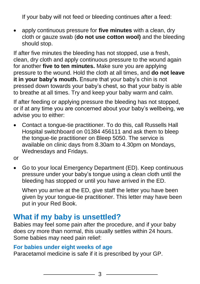If your baby will not feed or bleeding continues after a feed:

 apply continuous pressure for **five minutes** with a clean, dry cloth or gauze swab (**do not use cotton wool)** and the bleeding should stop.

If after five minutes the bleeding has not stopped, use a fresh, clean, dry cloth and apply continuous pressure to the wound again for another **five to ten minutes.** Make sure you are applying pressure to the wound. Hold the cloth at all times, and **do not leave it in your baby's mouth.** Ensure that your baby's chin is not pressed down towards your baby's chest, so that your baby is able to breathe at all times. Try and keep your baby warm and calm.

If after feeding or applying pressure the bleeding has not stopped, or if at any time you are concerned about your baby's wellbeing, we advise you to either:

 Contact a tongue-tie practitioner. To do this, call Russells Hall Hospital switchboard on 01384 456111 and ask them to bleep the tongue-tie practitioner on Bleep 5050. The service is available on clinic days from 8.30am to 4.30pm on Mondays, Wednesdays and Fridays.

or

 Go to your local Emergency Department (ED). Keep continuous pressure under your baby's tongue using a clean cloth until the bleeding has stopped or until you have arrived in the ED.

When you arrive at the ED, give staff the letter you have been given by your tongue-tie practitioner. This letter may have been put in your Red Book.

#### **What if my baby is unsettled?**

Babies may feel some pain after the procedure, and if your baby does cry more than normal, this usually settles within 24 hours. Some babies may need pain relief:

#### **For babies under eight weeks of age**

Paracetamol medicine is safe if it is prescribed by your GP.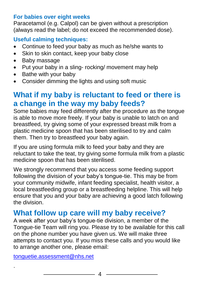#### **For babies over eight weeks**

Paracetamol (e.g. Calpol) can be given without a prescription (always read the label; do not exceed the recommended dose).

#### **Useful calming techniques:**

- Continue to feed your baby as much as he/she wants to
- Skin to skin contact, keep your baby close
- Baby massage
- Put your baby in a sling- rocking/ movement may help
- Bathe with your baby
- Consider dimming the lights and using soft music

## **What if my baby is reluctant to feed or there is a change in the way my baby feeds?**

Some babies may feed differently after the procedure as the tongue is able to move more freely. If your baby is unable to latch on and breastfeed, try giving some of your expressed breast milk from a plastic medicine spoon that has been sterilised to try and calm them. Then try to breastfeed your baby again.

If you are using formula milk to feed your baby and they are reluctant to take the teat, try giving some formula milk from a plastic medicine spoon that has been sterilised.

We strongly recommend that you access some feeding support following the division of your baby's tongue-tie. This may be from your community midwife, infant feeding specialist, health visitor, a local breastfeeding group or a breastfeeding helpline. This will help ensure that you and your baby are achieving a good latch following the division.

## **What follow up care will my baby receive?**

A week after your baby's tongue-tie division, a member of the Tongue-tie Team will ring you. Please try to be available for this call on the phone number you have given us. We will make three attempts to contact you. If you miss these calls and you would like to arrange another one, please email:

[tonguetie.assessment@nhs.net](file:///C:/Documents%20and%20Settings/lwil01/Local%20Settings/Temporary%20Internet%20Files/Content.Outlook/FGJWAP5K/tonguetie.assessment@nhs.net)

.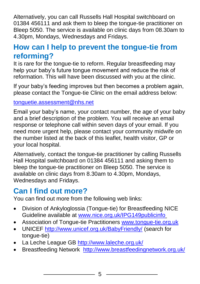Alternatively, you can call Russells Hall Hospital switchboard on 01384 456111 and ask them to bleep the tongue-tie practitioner on Bleep 5050. The service is available on clinic days from 08.30am to 4.30pm, Mondays, Wednesdays and Fridays.

## **How can I help to prevent the tongue-tie from reforming?**

It is rare for the tongue-tie to reform. Regular breastfeeding may help your baby's future tongue movement and reduce the risk of reformation. This will have been discussed with you at the clinic.

If your baby's feeding improves but then becomes a problem again, please contact the Tongue-tie Clinic on the email address below:

#### [tonguetie.assessment@nhs.net](mailto:tonguetie.assessment@nhs.net)

Email your baby's name, your contact number, the age of your baby and a brief description of the problem. You will receive an email response or telephone call within seven days of your email. If you need more urgent help, please contact your community midwife on the number listed at the back of this leaflet, health visitor, GP or your local hospital.

Alternatively, contact the tongue-tie practitioner by calling Russells Hall Hospital switchboard on 01384 456111 and asking them to bleep the tongue-tie practitioner on Bleep 5050. The service is available on clinic days from 8.30am to 4.30pm, Mondays, Wednesdays and Fridays.

## **Can I find out more?**

You can find out more from the following web links:

- Division of Ankyloglossia (Tongue-tie) for Breastfeeding NICE Guideline available at [www.nice.org.uk/IPG149publicinfo](http://www.nice.org.uk/IPG149publicinfo)
- Association of Tongue-tie Practitioners [www.tongue-tie.org.uk](http://www.tongue-tie.org.uk/)
- UNICEF<http://www.unicef.org.uk/BabyFriendly/> (search for tongue-tie)
- La Leche League GB<http://www.laleche.org.uk/>
- Breastfeeding Network <http://www.breastfeedingnetwork.org.uk/>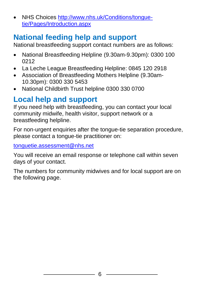NHS Choices [http://www.nhs.uk/Conditions/tongue](http://www.nhs.uk/Conditions/tongue-tie/Pages/Introduction.aspx)[tie/Pages/Introduction.aspx](http://www.nhs.uk/Conditions/tongue-tie/Pages/Introduction.aspx)

## **National feeding help and support**

National breastfeeding support contact numbers are as follows:

- National Breastfeeding Helpline (9.30am-9.30pm): 0300 100 0212
- La Leche League Breastfeeding Helpline: 0845 120 2918
- Association of Breastfeeding Mothers Helpline (9.30am-10.30pm): 0300 330 5453
- National Childbirth Trust helpline 0300 330 0700

## **Local help and support**

If you need help with breastfeeding, you can contact your local community midwife, health visitor, support network or a breastfeeding helpline.

For non-urgent enquiries after the tongue-tie separation procedure, please contact a tongue-tie practitioner on:

#### [tonguetie.assessment@nhs.net](mailto:tonguetie.assessment@nhs.net)

You will receive an email response or telephone call within seven days of your contact.

The numbers for community midwives and for local support are on the following page.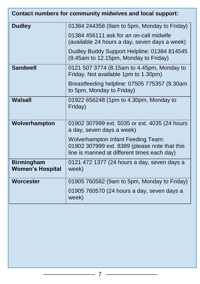| Contact numbers for community midwives and local support: |                                                                                                                                           |
|-----------------------------------------------------------|-------------------------------------------------------------------------------------------------------------------------------------------|
| <b>Dudley</b>                                             | 01384 244358 (9am to 5pm, Monday to Friday)                                                                                               |
|                                                           | 01384 456111 ask for an on-call midwife<br>(available 24 hours a day, seven days a week)                                                  |
|                                                           | Dudley Buddy Support Helpline: 01384 814545<br>(9.45am to 12.15pm, Monday to Friday)                                                      |
| <b>Sandwell</b>                                           | 0121 507 3774 (8.15am to 4.45pm, Monday to<br>Friday. Not available 1pm to 1.30pm)                                                        |
|                                                           | Breastfeeding helpline: 07505 775357 (9.30am<br>to 5pm, Monday to Friday)                                                                 |
| <b>Walsall</b>                                            | 01922 656248 (1pm to 4.30pm, Monday to<br>Friday)                                                                                         |
| Wolverhampton                                             | 01902 307999 ext. 5035 or ext. 4035 (24 hours<br>a day, seven days a week)                                                                |
|                                                           | <b>Wolverhampton Infant Feeding Team:</b><br>01902 307999 ext. 8389 (please note that this<br>line is manned at different times each day) |
| <b>Birmingham</b><br><b>Women's Hospital</b>              | 0121 472 1377 (24 hours a day, seven days a<br>week)                                                                                      |
| <b>Worcester</b>                                          | 01905 760582 (9am to 5pm, Monday to Friday)                                                                                               |
|                                                           | 01905 760570 (24 hours a day, seven days a<br>week)                                                                                       |